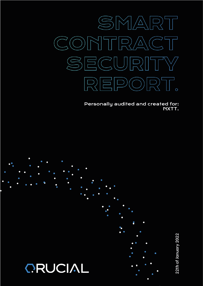

Personally audited and created for: NXTT.



 $\sim$  1  $\sim$  1  $\approx$  1  $\sim$  1  $\sim$  1  $\sim$  1  $\sim$  1  $\sim$  1  $\sim$  1  $\sim$  1  $\sim$  1  $\sim$  1  $\sim$  1  $\sim$  1  $\sim$  1  $\sim$  1  $\sim$  1  $\sim$  1  $\sim$  1  $\sim$  1  $\sim$  1  $\sim$  1  $\sim$  1  $\sim$  1  $\sim$  1  $\sim$  1  $\sim$  1  $\sim$  1  $\sim$  1  $\sim$  1  $\sim$  1  $\sim$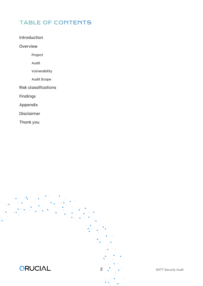# TABLE OF CONTENTS

Introduction

Overview

Project

Audit

Vulnerability

Audit Scope

Risk classifications

Findings

Appendix

Disclaimer

Thank you

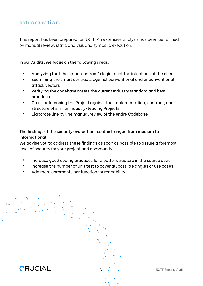# Introduction

This report has been prepared for NXTT. An extensive analysis has been performed by manual review, static analysis and symbolic execution.

## **In our Audits, we focus on the following areas:**

- Analyzing that the smart contract's logic meet the intentions of the client.
- Examining the smart contracts against conventional and unconventional attack vectors
- Verifying the codebase meets the current Industry standard and best practices
- Cross-referencing the Project against the implementation, contract, and structure of similar Industry-leading Projects
- Elaborate line by line manual review of the entire Codebase.

# **The findings of the security evaluation resulted ranged from medium to informational.**

We advise you to address these findings as soon as possible to assure a foremost level of security for your project and community.

- Increase good coding practices for a better structure in the source code
- Increase the number of unit test to cover all possible angles of use cases
- Add more comments per function for readability.

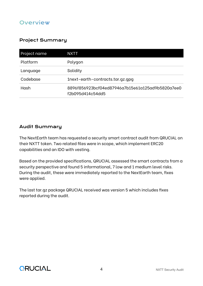# **Overview**

# Project Summary

| Project name | <b>NXTT</b>                                                          |
|--------------|----------------------------------------------------------------------|
| Platform     | Polygon                                                              |
| Language     | Solidity                                                             |
| Codebase     | 1next-earth-contracts.tar.gz.gpg                                     |
| Hash         | 8896f856923bcf04ed87946a7b15e61a125ad9b5820a7ee0<br>f2b095d414c54dd5 |

# Audit Summary

The NextEarth team has requested a security smart contract audit from QRUCIAL on their NXTT token. Two related files were in scope, which implement ERC20 capabilities and an IDO with vesting.

Based on the provided specifications, QRUCIAL assessed the smart contracts from a security perspective and found 5 informational, 7 low and 1 medium level risks. During the audit, these were immediately reported to the NextEarth team, fixes were applied.

The last tar.gz package QRUCIAL received was version 5 which includes fixes reported during the audit.

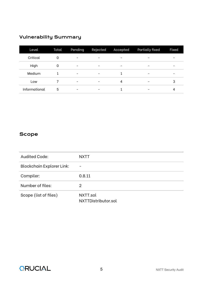# Vulnerability Summary

| Level         | Total | Pending                  | Rejected                 | Accepted                 | <b>Partially fixed</b> | Fixed |
|---------------|-------|--------------------------|--------------------------|--------------------------|------------------------|-------|
| Critical      | 0     |                          |                          | -                        |                        |       |
| High          | 0     | $\overline{\phantom{0}}$ | $\overline{\phantom{0}}$ | $\overline{\phantom{a}}$ | -                      |       |
| Medium        |       | $\overline{\phantom{a}}$ | $\qquad \qquad$          |                          | -                      | -     |
| Low           |       | $\qquad \qquad$          | -                        | 4                        |                        | 3     |
| Informational | 5     |                          | -                        |                          |                        |       |

# Scope

| Audited Code:                    | <b>NXTT</b>                     |
|----------------------------------|---------------------------------|
|                                  |                                 |
| <b>Blockchain Explorer Link:</b> | $\overline{\phantom{0}}$        |
| Compiler:                        | 0.8.11                          |
| Number of files:                 | $\overline{2}$                  |
| Scope (list of files)            | NXTT.sol<br>NXTTDistributor.sol |

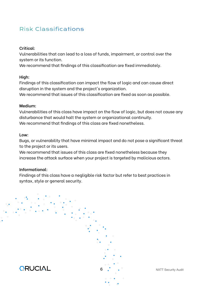# Risk Classifications

## **Critical:**

Vulnerabilities that can lead to a loss of funds, impairment, or control over the system or its function.

We recommend that findings of this classification are fixed immediately.

#### **High:**

Findings of this classification can impact the flow of logic and can cause direct disruption in the system and the project's organization.

We recommend that issues of this classification are fixed as soon as possible.

#### **Medium:**

Vulnerabilities of this class have impact on the flow of logic, but does not cause any disturbance that would halt the system or organizational continuity. We recommend that findings of this class are fixed nonetheless.

#### **Low:**

Bugs, or vulnerability that have minimal impact and do not pose a significant threat to the project or its users.

We recommend that issues of this class are fixed nonetheless because they increase the attack surface when your project is targeted by malicious actors.

## **Informational:**

Findings of this class have a negligible risk factor but refer to best practices in syntax, style or general security.

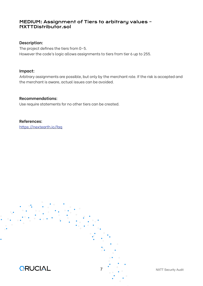# MEDIUM: Assignment of Tiers to arbitrary values – NXTTDistributor.sol

#### **Description:**

The project defines the tiers from 0-5. However the code's logic allows assignments to tiers from tier 6 up to 255.

#### **Impact:**

Arbitrary assignments are possible, but only by the merchant role. If the risk is accepted and the merchant is aware, actual issues can be avoided.

#### **Recommendations:**

Use require statements for no other tiers can be created.

#### **References:**

htt[ps://nextearth.io/faq](https://nextearth.io/faq)

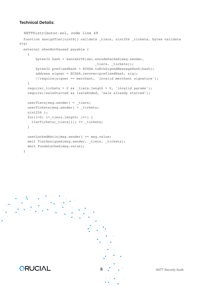```
 NXTTDistributor.sol, code line 49
  function assignTier(uint8[] calldata tiers, uint256 tickets, bytes calldata
sig)
   external whenNotPaused payable {
     {
        bytes32 hash = keccak256(abi.encodePacked(msg.sender,
                                     tiers, tickets));
        bytes32 prefixedHash = ECDSA.toEthSignedMessageHash(hash);
        address signer = ECDSA.recover(prefixedHash, sig);
        //require(signer == merchant, 'invalid merchant signal);
     }
    require( tickets > 0 && tiers.length > 0, 'invalid params');
     require(!saleStarted && !saleEnded, "sale already started");
   userTiers(msg.sender] = tiers;userTickets[msq.sender] = tickets; uint256 i;
    for(i=0; i< tiers.length; i++) {
      tierTickets[_tiers[i]] += _tickets;
     }
     userLockedMatic[msg.sender] += msg.value;
    emit TierAssigned(msg.sender, _tiers, _tickets);
     emit FundsLocked(msg.value);
   }
```
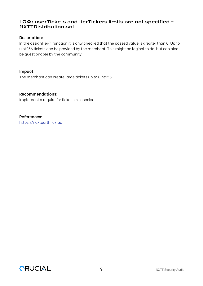# LOW: userTickets and tierTickers limits are not specified – NXTTDistribution.sol

#### **Description:**

In the assignTier() function it is only checked that the passed value is greater than 0. Up to uint256 tickets can be provided by the merchant. This might be logical to do, but can also be questionable by the community.

#### **Impact:**

The merchant can create large tickets up to uint256.

#### **Recommendations:**

Implement a require for ticket size checks.

**References:** htt[ps://nextearth.io/faq](https://nextearth.io/faq)

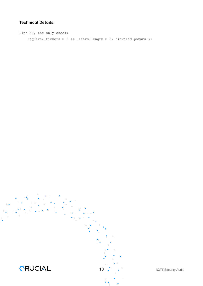Line 58, the only check: require(\_tickets > 0 && \_tiers.length > 0, 'invalid params');

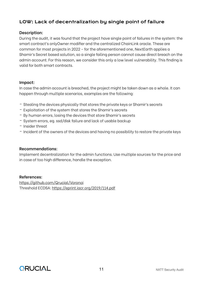# LOW: Lack of decentralization by single point of failure

#### **Description:**

During the audit, it was found that the project have single point of failures in the system: the smart contract's onlyOwner modifier and the centralized ChainLink oracle. These are common for most projects in 2022 - for the aforementioned one, NextEarth applies a Shamir's Secret based solution, so a single failing person cannot cause direct breach on the admin account. For this reason, we consider this only a low level vulnerability. This finding is valid for both smart contracts.

#### **Impact:**

In case the admin account is breached, the project might be taken down as a whole. It can happen through multiple scenarios, examples are the following:

- Stealing the devices physically that stores the private keys or Shamir's secrets
- Exploitation of the system that stores the Shamir's secrets
- By human errors, losing the devices that store Shamir's secrets
- System errors, eg. ssd/disk failure and lack of usable backup
- Insider threat
- Incident of the owners of the devices and having no possibility to restore the private keys

#### **Recommendations:**

Implement decentralization for the admin functions. Use multiple sources for the price and in case of too high difference, handle the exception.

#### **References:**

htt[ps://github.com/Qrucial/Voronoi](https://github.com/Qrucial/Voronoi) Threshold ECDSA: htt[ps://eprint.iacr.org/2019/114.pdf](https://eprint.iacr.org/2019/114.pdf)

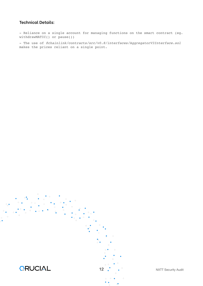- Reliance on a single account for managing functions on the smart contract (eg. withdrawMATIC() or pause())

- The use of *@chainlink/contracts/src/v0.8/interfaces/AggregatorV3Interface.sol* makes the prices reliant on a single point.

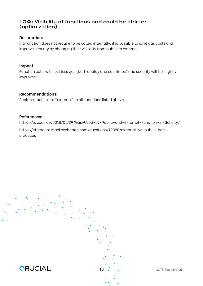# LOW: Visibility of functions and could be stricter (optimization)

#### **Description:**

If a function does not require to be called internally, it is possible to save gas costs and improve security by changing their visibility from public to external.

#### **Impact:**

Function calls will cost less gas (both deploy and call times) and security will be slightly improved.

#### **Recommendations:**

Replace "public" to "external" in all functions listed above.

#### **References:**

https://ezcook.de/2018/01/29/Gas-Used-by-Public-and-External-Function-in-Solidity/

https://ethereum.stackexchange.com/questions/19380/external-vs-public-bestpractices

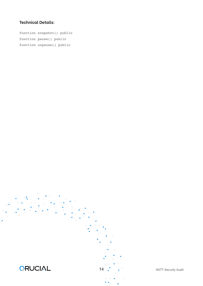function snapshot() public function pause() public function unpause() public

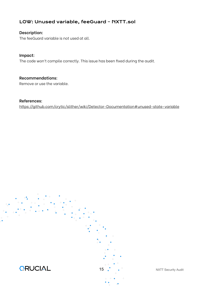# LOW: Unused variable, feeGuard – NXTT.sol

# **Description:**

The feeGuard variable is not used at all.

## **Impact:**

The code won't compile correctly. This issue has been fixed during the audit.

#### **Recommendations:**

Remove or use the variable.

#### **References:**

htt[ps://github.com/crytic/slither/wiki/Detector-Documentation#unused-state-variable](https://github.com/crytic/slither/wiki/Detector-Documentation#unused-state-variable)

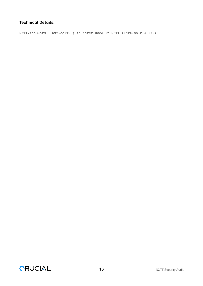NXTT.feeGuard (1Nxt.sol#28) is never used in NXTT (1Nxt.sol#14-176)

CRUCIAL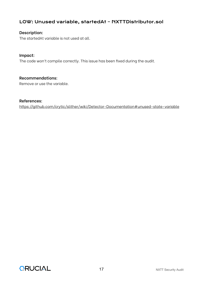# LOW: Unused variable, startedAt – NXTTDistributor.sol

#### **Description:**

The startedAt variable is not used at all.

#### **Impact:**

The code won't compile correctly. This issue has been fixed during the audit.

#### **Recommendations:**

Remove or use the variable.

#### **References:**

htt[ps://github.com/crytic/slither/wiki/Detector-Documentation#unused-state-variable](https://github.com/crytic/slither/wiki/Detector-Documentation#unused-state-variable)

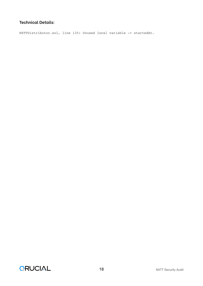NXTTDistributor.sol, line 135: Unused local variable -> startedAt.

CRUCIAL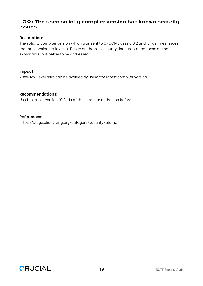# LOW: The used solidity compiler version has known security issues

#### **Description:**

The solidity compiler version which was sent to QRUCIAL uses 0.8.2 and it has three issues that are considered low risk. Based on the solc security documentation these are not exploitable, but better to be addressed.

#### **Impact:**

A few low level risks can be avoided by using the latest compiler version.

#### **Recommendations:**

Use the latest version (0.8.11) of the compiler or the one before.

#### **References:**

htt[ps://blog.soliditylang.org/category/security-alerts/](https://blog.soliditylang.org/category/security-alerts/)

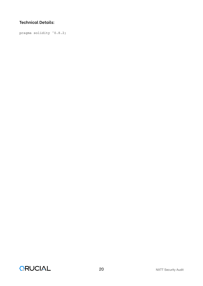pragma solidity ^0.8.2;

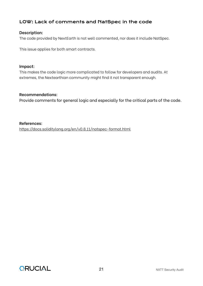# LOW: Lack of comments and NatSpec in the code

#### **Description:**

The code provided by NextEarth is not well commented, nor does it include NatSpec.

This issue applies for both smart contracts.

#### **Impact:**

This makes the code logic more complicated to follow for developers and audits. At extremes, the Nextearthian community might find it not transparent enough.

#### **Recommendations:**

Provide comments for general logic and especially for the critical parts of the code.

#### **References:**

htt[ps://docs.soliditylang.org/en/v0.8.11/natspec-format.html](https://docs.soliditylang.org/en/v0.8.11/natspec-format.html)

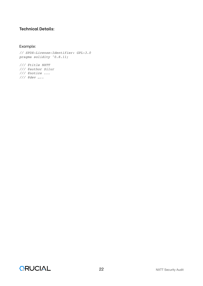#### Example:

```
// SPDX-License-Identifier: GPL-3.0
pragma solidity ^0.8.11;
/// @title NXTT
/// @author Silur
/// @notice ...
/// @dev …..
```
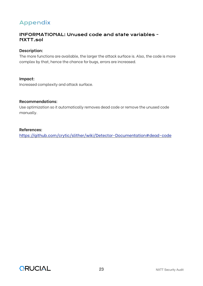# Appendix

## INFORMATIONAL: Unused code and state variables - NXTT.sol

#### **Description:**

The more functions are available, the larger the attack surface is. Also, the code is more complex by that, hence the chance for bugs, errors are increased.

#### **Impact:**

Increased complexity and attack surface.

#### **Recommendations:**

Use optimization so it automatically removes dead code or remove the unused code manually.

#### **References:**

htt[ps://github.com/crytic/slither/wiki/Detector-Documentation#dead-code](https://github.com/crytic/slither/wiki/Detector-Documentation#dead-code)

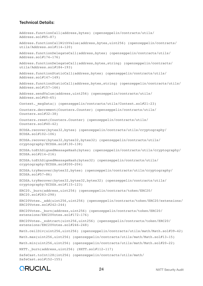Address.functionCall(address,bytes) (openzeppelin/contracts/utils/ Address.sol#85-87) Address.functionCallWithValue(address,bytes,uint256) (openzeppelin/contracts/ utils/Address.sol#114-120) Address.functionDelegateCall(address,bytes) (openzeppelin/contracts/utils/ Address.sol#174-176) Address.functionDelegateCall(address,bytes,string) (openzeppelin/contracts/ utils/Address.sol#184-193) Address.functionStaticCall(address,bytes) (openzeppelin/contracts/utils/ Address.sol#147-149) Address.functionStaticCall(address,bytes,string) (openzeppelin/contracts/utils/ Address.sol#157-166) Address.sendValue(address,uint256) (openzeppelin/contracts/utils/ Address.sol#60-65) Context.\_msgData() (openzeppelin/contracts/utils/Context.sol#21-23) Counters.decrement(Counters.Counter) (openzeppelin/contracts/utils/ Counters.sol#32-38) Counters.reset(Counters.Counter) (openzeppelin/contracts/utils/ Counters.sol#40-42) ECDSA.recover(bytes32,bytes) (openzeppelin/contracts/utils/cryptography/ ECDSA.sol#102-106) ECDSA.recover(bytes32,bytes32,bytes32) (openzeppelin/contracts/utils/ cryptography/ECDSA.sol#130-138) ECDSA.toEthSignedMessageHash(bytes) (openzeppelin/contracts/utils/cryptography/ ECDSA.sol#214-216) ECDSA.toEthSignedMessageHash(bytes32) (openzeppelin/contracts/utils/ cryptography/ECDSA.sol#200-204) ECDSA.tryRecover(bytes32,bytes) (openzeppelin/contracts/utils/cryptography/ ECDSA.sol#57-86) ECDSA.tryRecover(bytes32,bytes32,bytes32) (openzeppelin/contracts/utils/ cryptography/ECDSA.sol#115-123) ERC20.\_burn(address,uint256) (openzeppelin/contracts/token/ERC20/ ERC20.sol#283-298) ERC20Votes. add(uint256,uint256) (openzeppelin/contracts/token/ERC20/extensions/ ERC20Votes.sol#242-244) ERC20Votes.\_burn(address,uint256) (openzeppelin/contracts/token/ERC20/ extensions/ERC20Votes.sol#172-176) ERC20Votes.\_subtract(uint256,uint256) (openzeppelin/contracts/token/ERC20/ extensions/ERC20Votes.sol#246-248) Math.ceilDiv(uint256,uint256) (openzeppelin/contracts/utils/math/Math.sol#39-42) Math.max(uint256,uint256) (openzeppelin/contracts/utils/math/Math.sol#13-15) Math.min(uint256,uint256) (openzeppelin/contracts/utils/math/Math.sol#20-22) NXTT. burn(address,uint256) (NXTT.sol#112-117) SafeCast.toInt128(int256) (openzeppelin/contracts/utils/math/ SafeCast.sol#152-155)

# CRUCIAL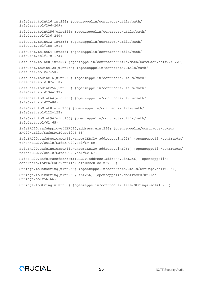SafeCast.toInt16(int256) (openzeppelin/contracts/utils/math/ SafeCast.sol#206-209) SafeCast.toInt256(uint256) (openzeppelin/contracts/utils/math/ SafeCast.sol#236-240) SafeCast.toInt32(int256) (openzeppelin/contracts/utils/math/ SafeCast.sol#188-191) SafeCast.toInt64(int256) (openzeppelin/contracts/utils/math/ SafeCast.sol#170-173) SafeCast.toInt8(int256) (openzeppelin/contracts/utils/math/SafeCast.sol#224-227) SafeCast.toUint128(uint256) (openzeppelin/contracts/utils/math/ SafeCast.sol#47-50) SafeCast.toUint16(uint256) (openzeppelin/contracts/utils/math/ SafeCast.sol#107-110) SafeCast.toUint256(int256) (openzeppelin/contracts/utils/math/ SafeCast.sol#134-137) SafeCast.toUint64(uint256) (openzeppelin/contracts/utils/math/ SafeCast.sol#77-80) SafeCast.toUint8(uint256) (openzeppelin/contracts/utils/math/ SafeCast.sol#122-125) SafeCast.toUint96(uint256) (openzeppelin/contracts/utils/math/ SafeCast.sol#62-65) SafeERC20.safeApprove(IERC20,address,uint256) (openzeppelin/contracts/token/ ERC20/utils/SafeERC20.sol#45-58) SafeERC20.safeDecreaseAllowance(IERC20,address,uint256) (openzeppelin/contracts/ token/ERC20/utils/SafeERC20.sol#69-80) SafeERC20.safeIncreaseAllowance(IERC20,address,uint256) (openzeppelin/contracts/ token/ERC20/utils/SafeERC20.sol#60-67) SafeERC20.safeTransferFrom(IERC20,address,address,uint256) (openzeppelin/ contracts/token/ERC20/utils/SafeERC20.sol#29-36) Strings.toHexString(uint256) (openzeppelin/contracts/utils/Strings.sol#40-51) Strings.toHexString(uint256,uint256) (openzeppelin/contracts/utils/ Strings.sol#56-66)

Strings.toString(uint256) (openzeppelin/contracts/utils/Strings.sol#15-35)

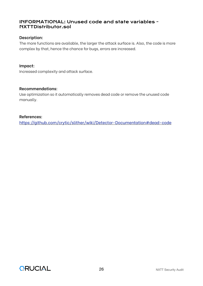# INFORMATIONAL: Unused code and state variables - NXTTDistributor.sol

#### **Description:**

The more functions are available, the larger the attack surface is. Also, the code is more complex by that, hence the chance for bugs, errors are increased.

#### **Impact:**

Increased complexity and attack surface.

#### **Recommendations:**

Use optimization so it automatically removes dead code or remove the unused code manually.

#### **References:**

htt[ps://github.com/crytic/slither/wiki/Detector-Documentation#dead-code](https://github.com/crytic/slither/wiki/Detector-Documentation#dead-code)

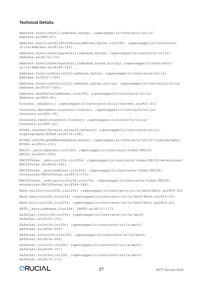```
Address.functionCall(address,bytes) (openzeppelin/contracts/utils/
Address.sol#85-87)
Address.functionCallWithValue(address,bytes,uint256) (openzeppelin/contracts/
utils/Address.sol#114-120)
Address.functionDelegateCall(address,bytes) (openzeppelin/contracts/utils/
Address.sol#174-176)
Address.functionDelegateCall(address,bytes,string) (openzeppelin/contracts/
utils/Address.sol#184-193)
Address.functionStaticCall(address,bytes) (openzeppelin/contracts/utils/
Address.sol#147-149)
Address.functionStaticCall(address,bytes,string) (openzeppelin/contracts/utils/
Address.sol#157-166)
Address.sendValue(address,uint256) (openzeppelin/contracts/utils/
Address.sol#60-65)
Context._msgData() (openzeppelin/contracts/utils/Context.sol#21-23)
Counters.decrement(Counters.Counter) (openzeppelin/contracts/utils/
Counters.sol#32-38)
Counters.reset(Counters.Counter) (openzeppelin/contracts/utils/
Counters.sol#40-42)
ECDSA.recover(bytes32,bytes32,bytes32) (openzeppelin/contracts/utils/
cryptography/ECDSA.sol#130-138)
ECDSA.toEthSignedMessageHash(bytes) (openzeppelin/contracts/utils/cryptography/
ECDSA.sol#214-216)
ERC20._burn(address,uint256) (openzeppelin/contracts/token/ERC20/
ERC20.sol#283-298)
ERC20Votes. add(uint256,uint256) (openzeppelin/contracts/token/ERC20/extensions/
ERC20Votes.sol#242-244)
ERC20Votes._burn(address,uint256) (openzeppelin/contracts/token/ERC20/
extensions/ERC20Votes.sol#172-176)
ERC20Votes._subtract(uint256,uint256) (openzeppelin/contracts/token/ERC20/
extensions/ERC20Votes.sol#246-248)
Math.ceilDiv(uint256,uint256) (openzeppelin/contracts/utils/math/Math.sol#39-42)
Math.max(uint256,uint256) (openzeppelin/contracts/utils/math/Math.sol#13-15)
Math.min(uint256,uint256) (openzeppelin/contracts/utils/math/Math.sol#20-22)
NXTT. burn(address,uint256) (NXTT.sol#112-117)
SafeCast.toInt128(int256) (openzeppelin/contracts/utils/math/
SafeCast.sol#152-155)
SafeCast.toInt16(int256) (openzeppelin/contracts/utils/math/
SafeCast.sol#206-209)
SafeCast.toInt256(uint256) (openzeppelin/contracts/utils/math/
SafeCast.sol#236-240)
SafeCast.toInt32(int256) (openzeppelin/contracts/utils/math/
SafeCast.sol#188-191)
SafeCast.toInt64(int256) (openzeppelin/contracts/utils/math/
SafeCast.sol#170-173)
```

```
CRUCIAL
```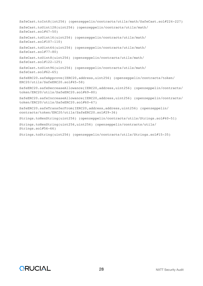SafeCast.toInt8(int256) (openzeppelin/contracts/utils/math/SafeCast.sol#224-227)

SafeCast.toUint128(uint256) (openzeppelin/contracts/utils/math/ SafeCast.sol#47-50)

SafeCast.toUint16(uint256) (openzeppelin/contracts/utils/math/ SafeCast.sol#107-110)

SafeCast.toUint64(uint256) (openzeppelin/contracts/utils/math/ SafeCast.sol#77-80)

SafeCast.toUint8(uint256) (openzeppelin/contracts/utils/math/ SafeCast.sol#122-125)

SafeCast.toUint96(uint256) (openzeppelin/contracts/utils/math/ SafeCast.sol#62-65)

SafeERC20.safeApprove(IERC20,address,uint256) (openzeppelin/contracts/token/ ERC20/utils/SafeERC20.sol#45-58)

SafeERC20.safeDecreaseAllowance(IERC20,address,uint256) (openzeppelin/contracts/ token/ERC20/utils/SafeERC20.sol#69-80)

SafeERC20.safeIncreaseAllowance(IERC20,address,uint256) (openzeppelin/contracts/ token/ERC20/utils/SafeERC20.sol#60-67)

SafeERC20.safeTransferFrom(IERC20,address,address,uint256) (openzeppelin/ contracts/token/ERC20/utils/SafeERC20.sol#29-36)

Strings.toHexString(uint256) (openzeppelin/contracts/utils/Strings.sol#40-51)

Strings.toHexString(uint256,uint256) (openzeppelin/contracts/utils/ Strings.sol#56-66)

Strings.toString(uint256) (openzeppelin/contracts/utils/Strings.sol#15-35)

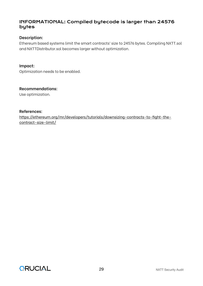# INFORMATIONAL: Compiled bytecode is larger than 24576 bytes

#### **Description:**

Ethereum based systems limit the smart contracts' size to 24576 bytes. Compiling NXTT.sol and NXTTDistributor.sol becomes larger without optimization.

#### **Impact:**

Optimization needs to be enabled.

#### **Recommendations:**

Use optimization.

#### **References:**

htt[ps://ethereum.org/mr/developers/tutorials/downsizing-contracts-to-](https://ethereum.org/mr/developers/tutorials/downsizing-contracts-to-fight-the-contract-size-limit/)fight-the[contract-size-limit/](https://ethereum.org/mr/developers/tutorials/downsizing-contracts-to-fight-the-contract-size-limit/)

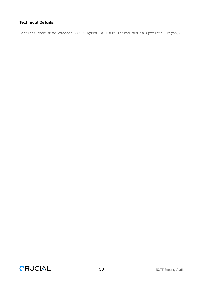Contract code size exceeds 24576 bytes (a limit introduced in Spurious Dragon).

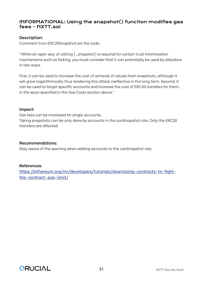# INFORMATIONAL: Using the snapshot() function modifies gas fees – NXTT.sol

#### **Description:**

Comment from ERC20Snapshot.sol the code:

"While an open way of calling {\_snapshot} is required for certain trust minimization mechanisms such as forking, you must consider that it can potentially be used by attackers in two ways.

First, it can be used to increase the cost of retrieval of values from snapshots, although it will grow logarithmically thus rendering this attack ineffective in the long term. Second, it can be used to target specific accounts and increase the cost of ERC20 transfers for them, in the ways specified in the Gas Costs section above."

#### **Impact:**

Gas fees can be increased for single accounts.

Taking snapshots can be only done by accounts in the canSnapshot role. Only the ERC20 transfers are affected.

#### **Recommendations:**

Stay aware of the warning when adding accounts to the canSnapshot role.

#### **References:**

htt[ps://ethereum.org/mr/developers/tutorials/downsizing-contracts-to-](https://ethereum.org/mr/developers/tutorials/downsizing-contracts-to-fight-the-contract-size-limit/)fight[the-contract-size-limit/](https://ethereum.org/mr/developers/tutorials/downsizing-contracts-to-fight-the-contract-size-limit/)

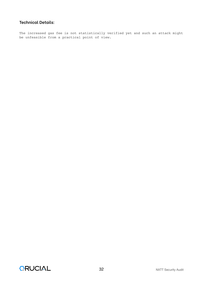The increased gas fee is not statistically verified yet and such an attack might be unfeasible from a practical point of view.

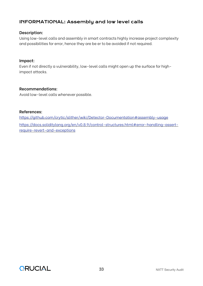# INFORMATIONAL: Assembly and low level calls

#### **Description:**

Using low-level calls and assembly in smart contracts highly increase project complexity and possibilities for error, hence they are be er to be avoided if not required.

#### **Impact:**

Even if not directly a vulnerability, low-level calls might open up the surface for highimpact attacks.

#### **Recommendations:**

Avoid low-level calls whenever possible.

#### **References:**

htt[ps://github.com/crytic/slither/wiki/Detector-Documentation#assembly-usage](https://github.com/crytic/slither/wiki/Detector-Documentation#assembly-usage)

htt[ps://docs.soliditylang.org/en/v0.8.9/control-structures.html#error-handling-assert](https://docs.soliditylang.org/en/v0.8.9/control-structures.html#error-handling-assert-require-revert-and-exceptions)[require-revert-and-exceptions](https://docs.soliditylang.org/en/v0.8.9/control-structures.html#error-handling-assert-require-revert-and-exceptions)

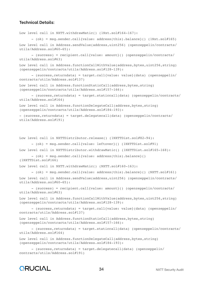```
Low level call in NXTT.withdrawMatic() (1Nxt.sol#164-167):
      - (ok) = msg.sender.call{value: address(this).balance}() (1Nxt.sol#165)
Low level call in Address.sendValue(address,uint256) (openzeppelin/contracts/
utils/Address.sol#60-65):
      - (success) = recipient.call{value: amount}() (openzeppelin/contracts/
utils/Address.sol#63)
Low level call in Address.functionCallWithValue(address,bytes,uint256,string)
(openzeppelin/contracts/utils/Address.sol#128-139):
      - (success,returndata) = target.call{value: value}(data) (openzeppelin/
contracts/utils/Address.sol#137)
Low level call in Address.functionStaticCall(address, bytes, string)
(openzeppelin/contracts/utils/Address.sol#157-166):
      - (success,returndata) = target.staticcall(data) (openzeppelin/contracts/
utils/Address.sol#164)
Low level call in Address.functionDelegateCall(address, bytes, string)
(openzeppelin/contracts/utils/Address.sol#184-193):
- (success,returndata) = target.delegatecall(data) (openzeppelin/contracts/
utils/Address.sol#191)
Low level call in NXTTDistributor.release() (1NXTTDist.sol#82-94):
      - (ok) = msg.sender.call{value: leftover}() (1NXTTDist.sol#91)
Low level call in NXTTDistributor.withdrawMatic() (1NXTTDist.sol#165-168):
      - (ok) = msg.sender.call{value: address(this).balance}() 
(1NXTTDist.sol#166)
Low level call in NXTT.withdrawMatic() (NXTT.sol#160-163):
      - (ok) = msg.sender.call{value: address(this).balance}() (NXTT.sol#161)
Low level call in Address.sendValue(address,uint256) (openzeppelin/contracts/
utils/Address.sol#60-65):
      - (success) = recipient.call{value: amount}() (openzeppelin/contracts/
utils/Address.sol#63)
```
Low level call in Address.functionCallWithValue(address, bytes, uint256, string) (openzeppelin/contracts/utils/Address.sol#128-139):

```
- (success,returndata) = target.call{value: value}(data) (openzeppelin/
contracts/utils/Address.sol#137)
```

```
Low level call in Address.functionStaticCall(address, bytes, string)
(openzeppelin/contracts/utils/Address.sol#157-166):
```

```
- (success,returndata) = target.staticcall(data) (openzeppelin/contracts/
utils/Address.sol#164)
```

```
Low level call in Address.functionDelegateCall(address, bytes, string)
(openzeppelin/contracts/utils/Address.sol#184-193):
```

```
- (success,returndata) = target.delegatecall(data) (openzeppelin/
contracts/utils/Address.sol#191)
```
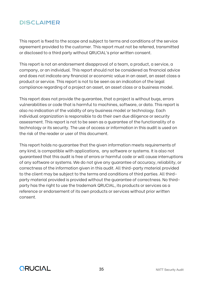# DISCLAIMER

This report is fixed to the scope and subject to terms and conditions of the service agreement provided to the customer. This report must not be referred, transmitted or disclosed to a third party without QRUCIAL's prior written consent.

This report is not an endorsement disapproval of a team, a product, a service, a company, or an individual. This report should not be considered as financial advice and does not indicate any financial or economic value in an asset, an asset class a product or service. This report is not to be seen as an indication of the legal compliance regarding of a project an asset, an asset class or a business model.

This report does not provide the guarantee, that a project is without bugs, errors vulnerabilities or code that is harmful to machines, software, or data. This report is also no indication of the validity of any business model or technology. Each individual organization is responsible to do their own due diligence or security assessment. This report is not to be seen as a guarantee of the functionality of a technology or its security. The use of access or information in this audit is used on the risk of the reader or user of this document.

This report holds no guarantee that the given information meets requirements of any kind, is compatible with applications, any software or systems. It is also not guaranteed that this audit is free of errors or harmful code or will cause interruptions of any software or systems. We do not give any guarantee of accuracy, reliability, or correctness of the information given in this audit. All third-party material provided to the client may be subject to the terms and conditions of third parties. All thirdparty material provided is provided without the guarantee of correctness. No thirdparty has the right to use the trademark QRUCIAL, its products or services as a reference or endorsement of its own products or services without prior written consent.

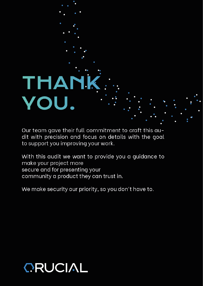# **THAN!** VOU.

Our team gave their full commitment to craft this audit with precision and focus on details with the goal to support you improving your work.

With this audit we want to provide you a guidance to make your project more secure and for presenting your community a product they can trust in.

We make security our priority, so you don't have to.